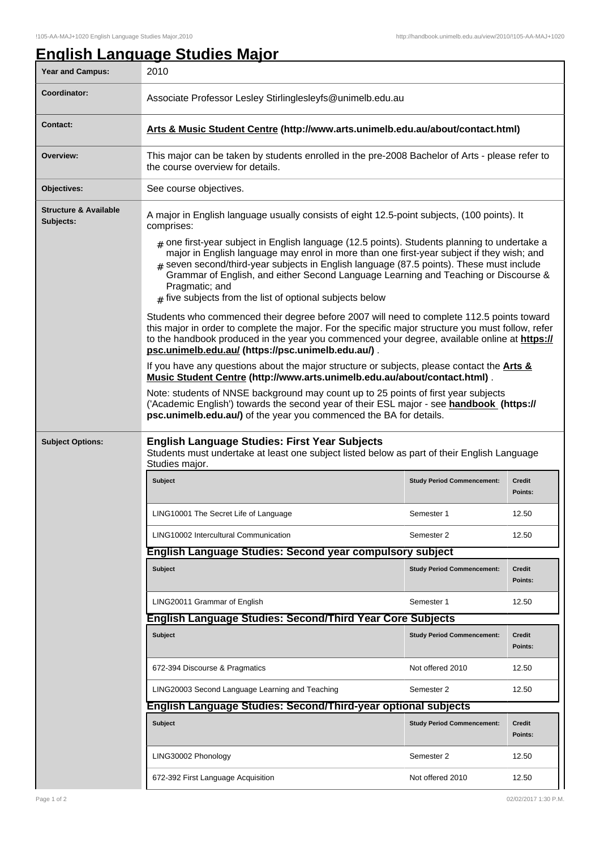## **English Language Studies Major**

| Year and Campus:                              | 2010                                                                                                                                                                                                                                                                                                                                                                                                                                                                                                                                                                                                                                                              |                                   |                   |  |  |
|-----------------------------------------------|-------------------------------------------------------------------------------------------------------------------------------------------------------------------------------------------------------------------------------------------------------------------------------------------------------------------------------------------------------------------------------------------------------------------------------------------------------------------------------------------------------------------------------------------------------------------------------------------------------------------------------------------------------------------|-----------------------------------|-------------------|--|--|
| Coordinator:                                  | Associate Professor Lesley Stirlinglesleyfs@unimelb.edu.au                                                                                                                                                                                                                                                                                                                                                                                                                                                                                                                                                                                                        |                                   |                   |  |  |
| <b>Contact:</b>                               | Arts & Music Student Centre (http://www.arts.unimelb.edu.au/about/contact.html)                                                                                                                                                                                                                                                                                                                                                                                                                                                                                                                                                                                   |                                   |                   |  |  |
| Overview:                                     | This major can be taken by students enrolled in the pre-2008 Bachelor of Arts - please refer to<br>the course overview for details.                                                                                                                                                                                                                                                                                                                                                                                                                                                                                                                               |                                   |                   |  |  |
| Objectives:                                   | See course objectives.                                                                                                                                                                                                                                                                                                                                                                                                                                                                                                                                                                                                                                            |                                   |                   |  |  |
| <b>Structure &amp; Available</b><br>Subjects: | A major in English language usually consists of eight 12.5-point subjects, (100 points). It<br>comprises:                                                                                                                                                                                                                                                                                                                                                                                                                                                                                                                                                         |                                   |                   |  |  |
|                                               | $#$ one first-year subject in English language (12.5 points). Students planning to undertake a<br>major in English language may enrol in more than one first-year subject if they wish; and<br># seven second/third-year subjects in English language (87.5 points). These must include<br>Grammar of English, and either Second Language Learning and Teaching or Discourse &<br>Pragmatic; and<br>$#$ five subjects from the list of optional subjects below<br>Students who commenced their degree before 2007 will need to complete 112.5 points toward<br>this major in order to complete the major. For the specific major structure you must follow, refer |                                   |                   |  |  |
|                                               | to the handbook produced in the year you commenced your degree, available online at https://<br>psc.unimelb.edu.au/ (https://psc.unimelb.edu.au/).<br>If you have any questions about the major structure or subjects, please contact the <b>Arts &amp;</b><br>Music Student Centre (http://www.arts.unimelb.edu.au/about/contact.html).<br>Note: students of NNSE background may count up to 25 points of first year subjects<br>('Academic English') towards the second year of their ESL major - see handbook (https://<br>psc.unimelb.edu.au/) of the year you commenced the BA for details.                                                                  |                                   |                   |  |  |
|                                               |                                                                                                                                                                                                                                                                                                                                                                                                                                                                                                                                                                                                                                                                   |                                   |                   |  |  |
|                                               |                                                                                                                                                                                                                                                                                                                                                                                                                                                                                                                                                                                                                                                                   |                                   |                   |  |  |
| <b>Subject Options:</b>                       | <b>English Language Studies: First Year Subjects</b><br>Students must undertake at least one subject listed below as part of their English Language<br>Studies major.                                                                                                                                                                                                                                                                                                                                                                                                                                                                                             |                                   |                   |  |  |
|                                               | Subject                                                                                                                                                                                                                                                                                                                                                                                                                                                                                                                                                                                                                                                           | <b>Study Period Commencement:</b> | Credit<br>Points: |  |  |
|                                               | LING10001 The Secret Life of Language                                                                                                                                                                                                                                                                                                                                                                                                                                                                                                                                                                                                                             | Semester 1                        | 12.50             |  |  |
|                                               | LING10002 Intercultural Communication                                                                                                                                                                                                                                                                                                                                                                                                                                                                                                                                                                                                                             | Semester 2                        | 12.50             |  |  |
|                                               | <b>English Language Studies: Second year compulsory subject</b>                                                                                                                                                                                                                                                                                                                                                                                                                                                                                                                                                                                                   |                                   |                   |  |  |
|                                               | Subject                                                                                                                                                                                                                                                                                                                                                                                                                                                                                                                                                                                                                                                           | <b>Study Period Commencement:</b> | Credit<br>Points: |  |  |
|                                               | LING20011 Grammar of English                                                                                                                                                                                                                                                                                                                                                                                                                                                                                                                                                                                                                                      | Semester 1                        | 12.50             |  |  |
|                                               | <b>English Language Studies: Second/Third Year Core Subjects</b>                                                                                                                                                                                                                                                                                                                                                                                                                                                                                                                                                                                                  |                                   |                   |  |  |
|                                               | <b>Subject</b>                                                                                                                                                                                                                                                                                                                                                                                                                                                                                                                                                                                                                                                    | <b>Study Period Commencement:</b> | Credit<br>Points: |  |  |
|                                               | 672-394 Discourse & Pragmatics                                                                                                                                                                                                                                                                                                                                                                                                                                                                                                                                                                                                                                    | Not offered 2010                  | 12.50             |  |  |
|                                               | LING20003 Second Language Learning and Teaching                                                                                                                                                                                                                                                                                                                                                                                                                                                                                                                                                                                                                   | Semester 2                        | 12.50             |  |  |
|                                               | English Language Studies: Second/Third-year optional subjects                                                                                                                                                                                                                                                                                                                                                                                                                                                                                                                                                                                                     |                                   |                   |  |  |
|                                               | <b>Subject</b>                                                                                                                                                                                                                                                                                                                                                                                                                                                                                                                                                                                                                                                    | <b>Study Period Commencement:</b> | Credit<br>Points: |  |  |
|                                               | LING30002 Phonology                                                                                                                                                                                                                                                                                                                                                                                                                                                                                                                                                                                                                                               | Semester 2                        | 12.50             |  |  |
|                                               | 672-392 First Language Acquisition                                                                                                                                                                                                                                                                                                                                                                                                                                                                                                                                                                                                                                | Not offered 2010                  | 12.50             |  |  |